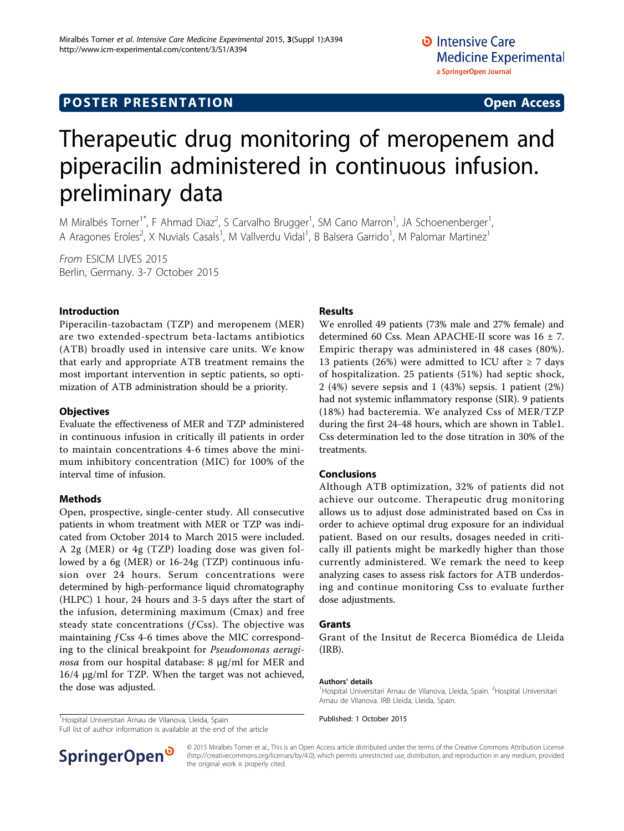## **POSTER PRESENTATION CONSUMING ACCESS**

# Therapeutic drug monitoring of meropenem and piperacilin administered in continuous infusion. preliminary data

M Miralbés Torner<sup>1\*</sup>, F Ahmad Diaz<sup>2</sup>, S Carvalho Brugger<sup>1</sup>, SM Cano Marron<sup>1</sup>, JA Schoenenberger<sup>1</sup> , A Aragones Eroles<sup>2</sup>, X Nuvials Casals<sup>1</sup>, M Vallverdu Vidal<sup>1</sup>, B Balsera Garrido<sup>1</sup>, M Palomar Martinez<sup>1</sup>

From ESICM LIVES 2015 Berlin, Germany. 3-7 October 2015

## Introduction

Piperacilin-tazobactam (TZP) and meropenem (MER) are two extended-spectrum beta-lactams antibiotics (ATB) broadly used in intensive care units. We know that early and appropriate ATB treatment remains the most important intervention in septic patients, so optimization of ATB administration should be a priority.

## **Objectives**

Evaluate the effectiveness of MER and TZP administered in continuous infusion in critically ill patients in order to maintain concentrations 4-6 times above the minimum inhibitory concentration (MIC) for 100% of the interval time of infusion.

## Methods

Open, prospective, single-center study. All consecutive patients in whom treatment with MER or TZP was indicated from October 2014 to March 2015 were included. A 2g (MER) or 4g (TZP) loading dose was given followed by a 6g (MER) or 16-24g (TZP) continuous infusion over 24 hours. Serum concentrations were determined by high-performance liquid chromatography (HLPC) 1 hour, 24 hours and 3-5 days after the start of the infusion, determining maximum (Cmax) and free steady state concentrations  $(f\text{Css})$ . The objective was maintaining  $f$ Css 4-6 times above the MIC corresponding to the clinical breakpoint for Pseudomonas aeruginosa from our hospital database: 8  $\mu$ g/ml for MER and 16/4 µg/ml for TZP. When the target was not achieved, the dose was adjusted.

#### <sup>1</sup>Hospital Universitari Arnau de Vilanova, Lleida, Spain **1888 1888 1888 1-19 Nublished: 1 October 2015**

Full list of author information is available at the end of the article

## Results

We enrolled 49 patients (73% male and 27% female) and determined 60 Css. Mean APACHE-II score was 16 ± 7. Empiric therapy was administered in 48 cases (80%). 13 patients (26%) were admitted to ICU after  $\geq$  7 days of hospitalization. 25 patients (51%) had septic shock, 2 (4%) severe sepsis and 1 (43%) sepsis. 1 patient (2%) had not systemic inflammatory response (SIR). 9 patients (18%) had bacteremia. We analyzed Css of MER/TZP during the first 24-48 hours, which are shown in Tabl[e1](#page-1-0). Css determination led to the dose titration in 30% of the treatments.

#### Conclusions

Although ATB optimization, 32% of patients did not achieve our outcome. Therapeutic drug monitoring allows us to adjust dose administrated based on Css in order to achieve optimal drug exposure for an individual patient. Based on our results, dosages needed in critically ill patients might be markedly higher than those currently administered. We remark the need to keep analyzing cases to assess risk factors for ATB underdosing and continue monitoring Css to evaluate further dose adjustments.

#### Grants

Grant of the Insitut de Recerca Biomédica de Lleida (IRB).

#### Authors' details <sup>1</sup>

Hospital Universitari Arnau de Vilanova, Lleida, Spain. <sup>2</sup>Hospital Universitari Arnau de Vilanova. IRB Lleida, Lleida, Spain.



© 2015 Miralbés Torner et al.; This is an Open Access article distributed under the terms of the Creative Commons Attribution License [\(http://creativecommons.org/licenses/by/4.0](http://creativecommons.org/licenses/by/4.0)), which permits unrestricted use, distribution, and reproduction in any medium, provided the original work is properly cited.